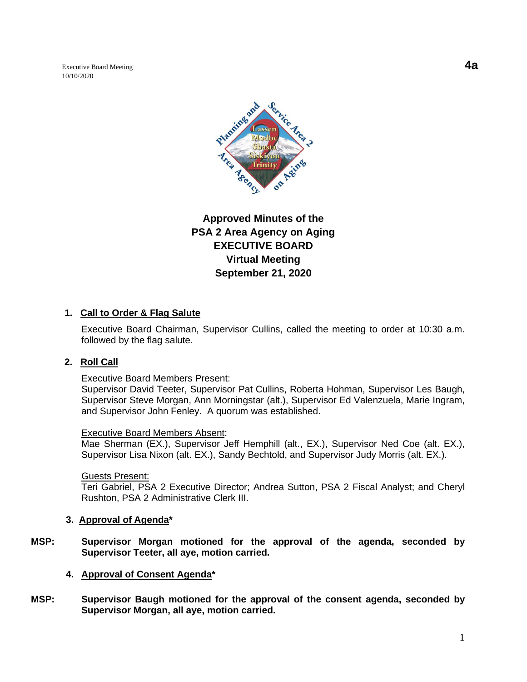Executive Board Meeting **4a** 10/10/2020



# **Approved Minutes of the PSA 2 Area Agency on Aging EXECUTIVE BOARD Virtual Meeting September 21, 2020**

# **1. Call to Order & Flag Salute**

Executive Board Chairman, Supervisor Cullins, called the meeting to order at 10:30 a.m. followed by the flag salute.

#### **2. Roll Call**

#### Executive Board Members Present:

Supervisor David Teeter, Supervisor Pat Cullins, Roberta Hohman, Supervisor Les Baugh, Supervisor Steve Morgan, Ann Morningstar (alt.), Supervisor Ed Valenzuela, Marie Ingram, and Supervisor John Fenley. A quorum was established.

#### Executive Board Members Absent:

Mae Sherman (EX.), Supervisor Jeff Hemphill (alt., EX.), Supervisor Ned Coe (alt. EX.), Supervisor Lisa Nixon (alt. EX.), Sandy Bechtold, and Supervisor Judy Morris (alt. EX.).

#### Guests Present:

Teri Gabriel, PSA 2 Executive Director; Andrea Sutton, PSA 2 Fiscal Analyst; and Cheryl Rushton, PSA 2 Administrative Clerk III.

#### **3. Approval of Agenda\***

**MSP: Supervisor Morgan motioned for the approval of the agenda, seconded by Supervisor Teeter, all aye, motion carried.**

#### **4. Approval of Consent Agenda\***

**MSP: Supervisor Baugh motioned for the approval of the consent agenda, seconded by Supervisor Morgan, all aye, motion carried.**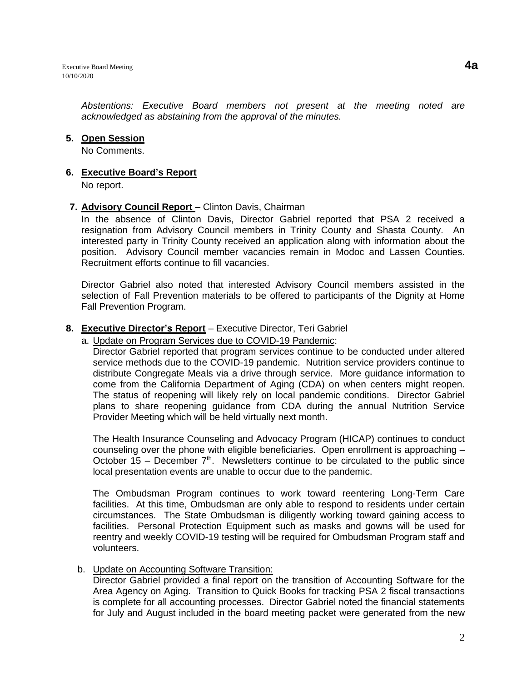*Abstentions: Executive Board members not present at the meeting noted are acknowledged as abstaining from the approval of the minutes.*

# **5. Open Session**

No Comments.

# **6. Executive Board's Report**

No report.

# **7. Advisory Council Report** – Clinton Davis, Chairman

In the absence of Clinton Davis, Director Gabriel reported that PSA 2 received a resignation from Advisory Council members in Trinity County and Shasta County. An interested party in Trinity County received an application along with information about the position. Advisory Council member vacancies remain in Modoc and Lassen Counties. Recruitment efforts continue to fill vacancies.

Director Gabriel also noted that interested Advisory Council members assisted in the selection of Fall Prevention materials to be offered to participants of the Dignity at Home Fall Prevention Program.

# **8. Executive Director's Report** – Executive Director, Teri Gabriel

#### a. Update on Program Services due to COVID-19 Pandemic:

Director Gabriel reported that program services continue to be conducted under altered service methods due to the COVID-19 pandemic. Nutrition service providers continue to distribute Congregate Meals via a drive through service. More guidance information to come from the California Department of Aging (CDA) on when centers might reopen. The status of reopening will likely rely on local pandemic conditions. Director Gabriel plans to share reopening guidance from CDA during the annual Nutrition Service Provider Meeting which will be held virtually next month.

The Health Insurance Counseling and Advocacy Program (HICAP) continues to conduct counseling over the phone with eligible beneficiaries. Open enrollment is approaching – October 15 – December  $7<sup>th</sup>$ . Newsletters continue to be circulated to the public since local presentation events are unable to occur due to the pandemic.

The Ombudsman Program continues to work toward reentering Long-Term Care facilities. At this time, Ombudsman are only able to respond to residents under certain circumstances. The State Ombudsman is diligently working toward gaining access to facilities. Personal Protection Equipment such as masks and gowns will be used for reentry and weekly COVID-19 testing will be required for Ombudsman Program staff and volunteers.

#### b. Update on Accounting Software Transition:

Director Gabriel provided a final report on the transition of Accounting Software for the Area Agency on Aging. Transition to Quick Books for tracking PSA 2 fiscal transactions is complete for all accounting processes. Director Gabriel noted the financial statements for July and August included in the board meeting packet were generated from the new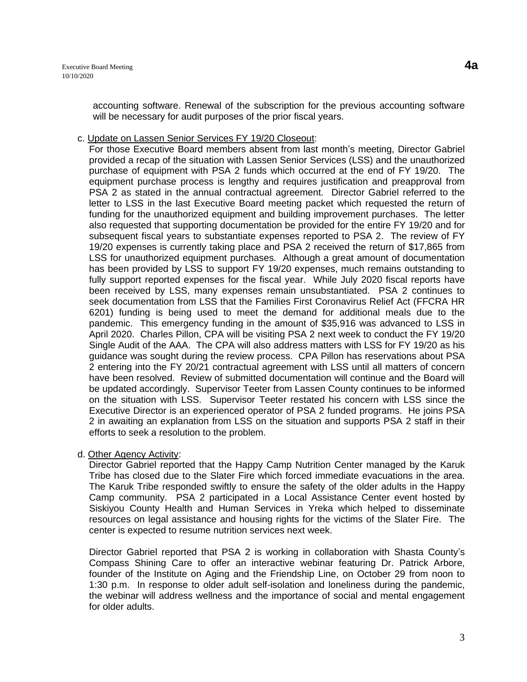accounting software. Renewal of the subscription for the previous accounting software will be necessary for audit purposes of the prior fiscal years.

# c. Update on Lassen Senior Services FY 19/20 Closeout:

For those Executive Board members absent from last month's meeting, Director Gabriel provided a recap of the situation with Lassen Senior Services (LSS) and the unauthorized purchase of equipment with PSA 2 funds which occurred at the end of FY 19/20. The equipment purchase process is lengthy and requires justification and preapproval from PSA 2 as stated in the annual contractual agreement. Director Gabriel referred to the letter to LSS in the last Executive Board meeting packet which requested the return of funding for the unauthorized equipment and building improvement purchases. The letter also requested that supporting documentation be provided for the entire FY 19/20 and for subsequent fiscal years to substantiate expenses reported to PSA 2. The review of FY 19/20 expenses is currently taking place and PSA 2 received the return of \$17,865 from LSS for unauthorized equipment purchases. Although a great amount of documentation has been provided by LSS to support FY 19/20 expenses, much remains outstanding to fully support reported expenses for the fiscal year. While July 2020 fiscal reports have been received by LSS, many expenses remain unsubstantiated. PSA 2 continues to seek documentation from LSS that the Families First Coronavirus Relief Act (FFCRA HR 6201) funding is being used to meet the demand for additional meals due to the pandemic. This emergency funding in the amount of \$35,916 was advanced to LSS in April 2020. Charles Pillon, CPA will be visiting PSA 2 next week to conduct the FY 19/20 Single Audit of the AAA. The CPA will also address matters with LSS for FY 19/20 as his guidance was sought during the review process. CPA Pillon has reservations about PSA 2 entering into the FY 20/21 contractual agreement with LSS until all matters of concern have been resolved. Review of submitted documentation will continue and the Board will be updated accordingly. Supervisor Teeter from Lassen County continues to be informed on the situation with LSS. Supervisor Teeter restated his concern with LSS since the Executive Director is an experienced operator of PSA 2 funded programs. He joins PSA 2 in awaiting an explanation from LSS on the situation and supports PSA 2 staff in their efforts to seek a resolution to the problem.

# d. Other Agency Activity:

Director Gabriel reported that the Happy Camp Nutrition Center managed by the Karuk Tribe has closed due to the Slater Fire which forced immediate evacuations in the area. The Karuk Tribe responded swiftly to ensure the safety of the older adults in the Happy Camp community. PSA 2 participated in a Local Assistance Center event hosted by Siskiyou County Health and Human Services in Yreka which helped to disseminate resources on legal assistance and housing rights for the victims of the Slater Fire. The center is expected to resume nutrition services next week.

Director Gabriel reported that PSA 2 is working in collaboration with Shasta County's Compass Shining Care to offer an interactive webinar featuring Dr. Patrick Arbore, founder of the Institute on Aging and the Friendship Line, on October 29 from noon to 1:30 p.m. In response to older adult self-isolation and loneliness during the pandemic, the webinar will address wellness and the importance of social and mental engagement for older adults.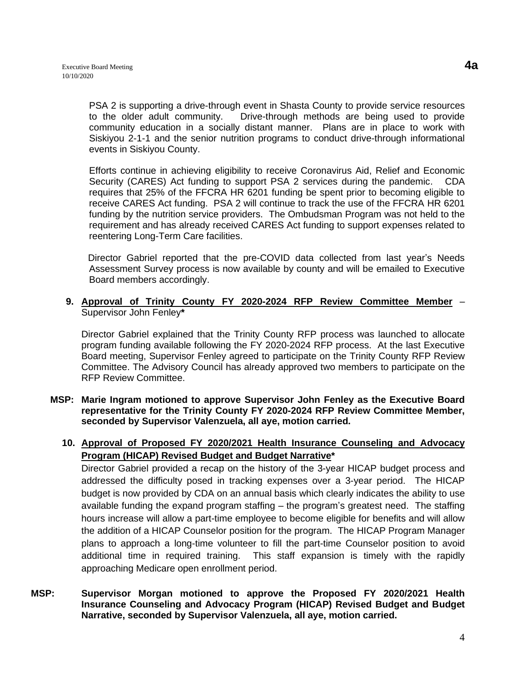PSA 2 is supporting a drive-through event in Shasta County to provide service resources to the older adult community. Drive-through methods are being used to provide community education in a socially distant manner. Plans are in place to work with Siskiyou 2-1-1 and the senior nutrition programs to conduct drive-through informational events in Siskiyou County.

Efforts continue in achieving eligibility to receive Coronavirus Aid, Relief and Economic Security (CARES) Act funding to support PSA 2 services during the pandemic. CDA requires that 25% of the FFCRA HR 6201 funding be spent prior to becoming eligible to receive CARES Act funding. PSA 2 will continue to track the use of the FFCRA HR 6201 funding by the nutrition service providers. The Ombudsman Program was not held to the requirement and has already received CARES Act funding to support expenses related to reentering Long-Term Care facilities.

 Director Gabriel reported that the pre-COVID data collected from last year's Needs Assessment Survey process is now available by county and will be emailed to Executive Board members accordingly.

# **9. Approval of Trinity County FY 2020-2024 RFP Review Committee Member** – Supervisor John Fenley**\***

Director Gabriel explained that the Trinity County RFP process was launched to allocate program funding available following the FY 2020-2024 RFP process. At the last Executive Board meeting, Supervisor Fenley agreed to participate on the Trinity County RFP Review Committee. The Advisory Council has already approved two members to participate on the RFP Review Committee.

- **MSP: Marie Ingram motioned to approve Supervisor John Fenley as the Executive Board representative for the Trinity County FY 2020-2024 RFP Review Committee Member, seconded by Supervisor Valenzuela, all aye, motion carried.**
	- **10. Approval of Proposed FY 2020/2021 Health Insurance Counseling and Advocacy Program (HICAP) Revised Budget and Budget Narrative\***

Director Gabriel provided a recap on the history of the 3-year HICAP budget process and addressed the difficulty posed in tracking expenses over a 3-year period. The HICAP budget is now provided by CDA on an annual basis which clearly indicates the ability to use available funding the expand program staffing – the program's greatest need. The staffing hours increase will allow a part-time employee to become eligible for benefits and will allow the addition of a HICAP Counselor position for the program. The HICAP Program Manager plans to approach a long-time volunteer to fill the part-time Counselor position to avoid additional time in required training. This staff expansion is timely with the rapidly approaching Medicare open enrollment period.

# **MSP: Supervisor Morgan motioned to approve the Proposed FY 2020/2021 Health Insurance Counseling and Advocacy Program (HICAP) Revised Budget and Budget Narrative, seconded by Supervisor Valenzuela, all aye, motion carried.**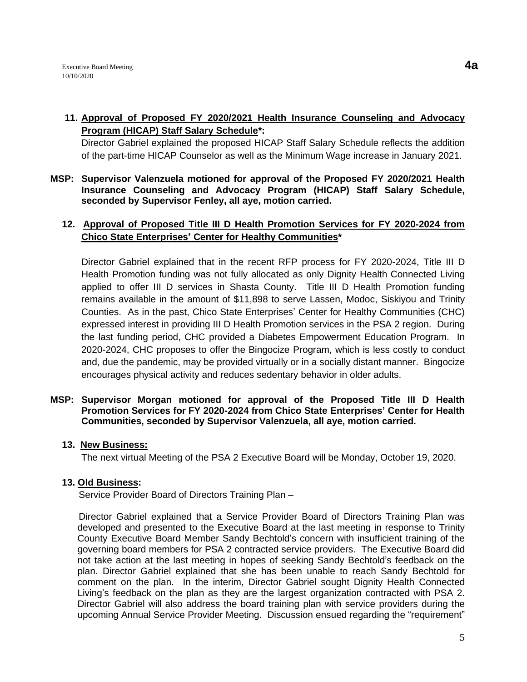# **11. Approval of Proposed FY 2020/2021 Health Insurance Counseling and Advocacy Program (HICAP) Staff Salary Schedule\*:**

Director Gabriel explained the proposed HICAP Staff Salary Schedule reflects the addition of the part-time HICAP Counselor as well as the Minimum Wage increase in January 2021.

**MSP: Supervisor Valenzuela motioned for approval of the Proposed FY 2020/2021 Health Insurance Counseling and Advocacy Program (HICAP) Staff Salary Schedule, seconded by Supervisor Fenley, all aye, motion carried.**

# **12. Approval of Proposed Title III D Health Promotion Services for FY 2020-2024 from Chico State Enterprises' Center for Healthy Communities\***

Director Gabriel explained that in the recent RFP process for FY 2020-2024, Title III D Health Promotion funding was not fully allocated as only Dignity Health Connected Living applied to offer III D services in Shasta County. Title III D Health Promotion funding remains available in the amount of \$11,898 to serve Lassen, Modoc, Siskiyou and Trinity Counties. As in the past, Chico State Enterprises' Center for Healthy Communities (CHC) expressed interest in providing III D Health Promotion services in the PSA 2 region. During the last funding period, CHC provided a Diabetes Empowerment Education Program. In 2020-2024, CHC proposes to offer the Bingocize Program, which is less costly to conduct and, due the pandemic, may be provided virtually or in a socially distant manner. Bingocize encourages physical activity and reduces sedentary behavior in older adults.

# **MSP: Supervisor Morgan motioned for approval of the Proposed Title III D Health Promotion Services for FY 2020-2024 from Chico State Enterprises' Center for Health Communities, seconded by Supervisor Valenzuela, all aye, motion carried.**

# **13. New Business:**

The next virtual Meeting of the PSA 2 Executive Board will be Monday, October 19, 2020.

# **13. Old Business:**

Service Provider Board of Directors Training Plan –

Director Gabriel explained that a Service Provider Board of Directors Training Plan was developed and presented to the Executive Board at the last meeting in response to Trinity County Executive Board Member Sandy Bechtold's concern with insufficient training of the governing board members for PSA 2 contracted service providers. The Executive Board did not take action at the last meeting in hopes of seeking Sandy Bechtold's feedback on the plan. Director Gabriel explained that she has been unable to reach Sandy Bechtold for comment on the plan. In the interim, Director Gabriel sought Dignity Health Connected Living's feedback on the plan as they are the largest organization contracted with PSA 2. Director Gabriel will also address the board training plan with service providers during the upcoming Annual Service Provider Meeting. Discussion ensued regarding the "requirement"